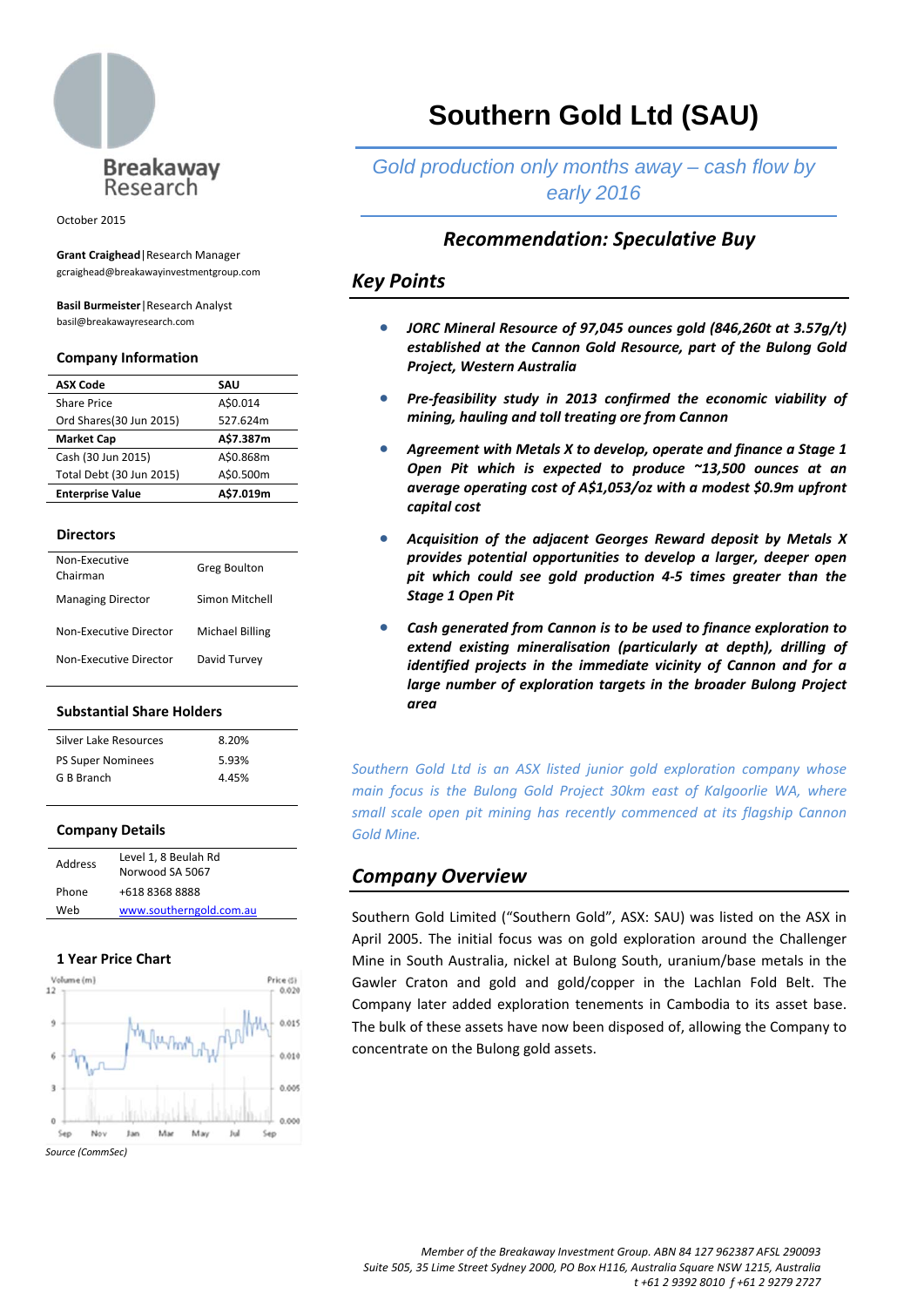

October 2015

**Grant Craighead**|Research Manager gcraighead@breakawayinvestmentgroup.com

**Basil Burmeister**|Research Analyst basil@breakawayresearch.com

## **Company Information**

| <b>ASX Code</b>          | SAU       |
|--------------------------|-----------|
| <b>Share Price</b>       | A\$0.014  |
| Ord Shares(30 Jun 2015)  | 527.624m  |
| <b>Market Cap</b>        | A\$7.387m |
| Cash (30 Jun 2015)       | A\$0.868m |
| Total Debt (30 Jun 2015) | A\$0.500m |
| <b>Enterprise Value</b>  | A\$7.019m |

#### **Directors**

| Non-Executive<br>Chairman | <b>Greg Boulton</b> |
|---------------------------|---------------------|
| <b>Managing Director</b>  | Simon Mitchell      |
| Non-Executive Director    | Michael Billing     |
| Non-Executive Director    | David Turvey        |

## **Substantial Share Holders**

| Silver Lake Resources    | 8.20% |
|--------------------------|-------|
| <b>PS Super Nominees</b> | 5.93% |
| G B Branch               | 4.45% |
|                          |       |

## **Company Details**

| Address | Level 1, 8 Beulah Rd<br>Norwood SA 5067 |
|---------|-----------------------------------------|
| Phone   | +618 8368 8888                          |
| Web     | www.southerngold.com.au                 |
|         |                                         |

## **1 Year Price Chart**



# **Southern Gold Ltd (SAU)**

# *Gold production only months away – cash flow by early 2016*

# *Recommendation: Speculative Buy*

# *Key Points*

- *JORC Mineral Resource of 97,045 ounces gold (846,260t at 3.57g/t) established at the Cannon Gold Resource, part of the Bulong Gold Project, Western Australia*
- *Pre‐feasibility study in 2013 confirmed the economic viability of mining, hauling and toll treating ore from Cannon*
- *Agreement with Metals X to develop, operate and finance a Stage 1 Open Pit which is expected to produce ~13,500 ounces at an average operating cost of A\$1,053/oz with a modest \$0.9m upfront capital cost*
- *Acquisition of the adjacent Georges Reward deposit by Metals X provides potential opportunities to develop a larger, deeper open pit which could see gold production 4‐5 times greater than the Stage 1 Open Pit*
- *Cash generated from Cannon is to be used to finance exploration to extend existing mineralisation (particularly at depth), drilling of identified projects in the immediate vicinity of Cannon and for a large number of exploration targets in the broader Bulong Project area*

*Southern Gold Ltd is an ASX listed junior gold exploration company whose main focus is the Bulong Gold Project 30km east of Kalgoorlie WA, where small scale open pit mining has recently commenced at its flagship Cannon Gold Mine.*

# *Company Overview*

Southern Gold Limited ("Southern Gold", ASX: SAU) was listed on the ASX in April 2005. The initial focus was on gold exploration around the Challenger Mine in South Australia, nickel at Bulong South, uranium/base metals in the Gawler Craton and gold and gold/copper in the Lachlan Fold Belt. The Company later added exploration tenements in Cambodia to its asset base. The bulk of these assets have now been disposed of, allowing the Company to concentrate on the Bulong gold assets.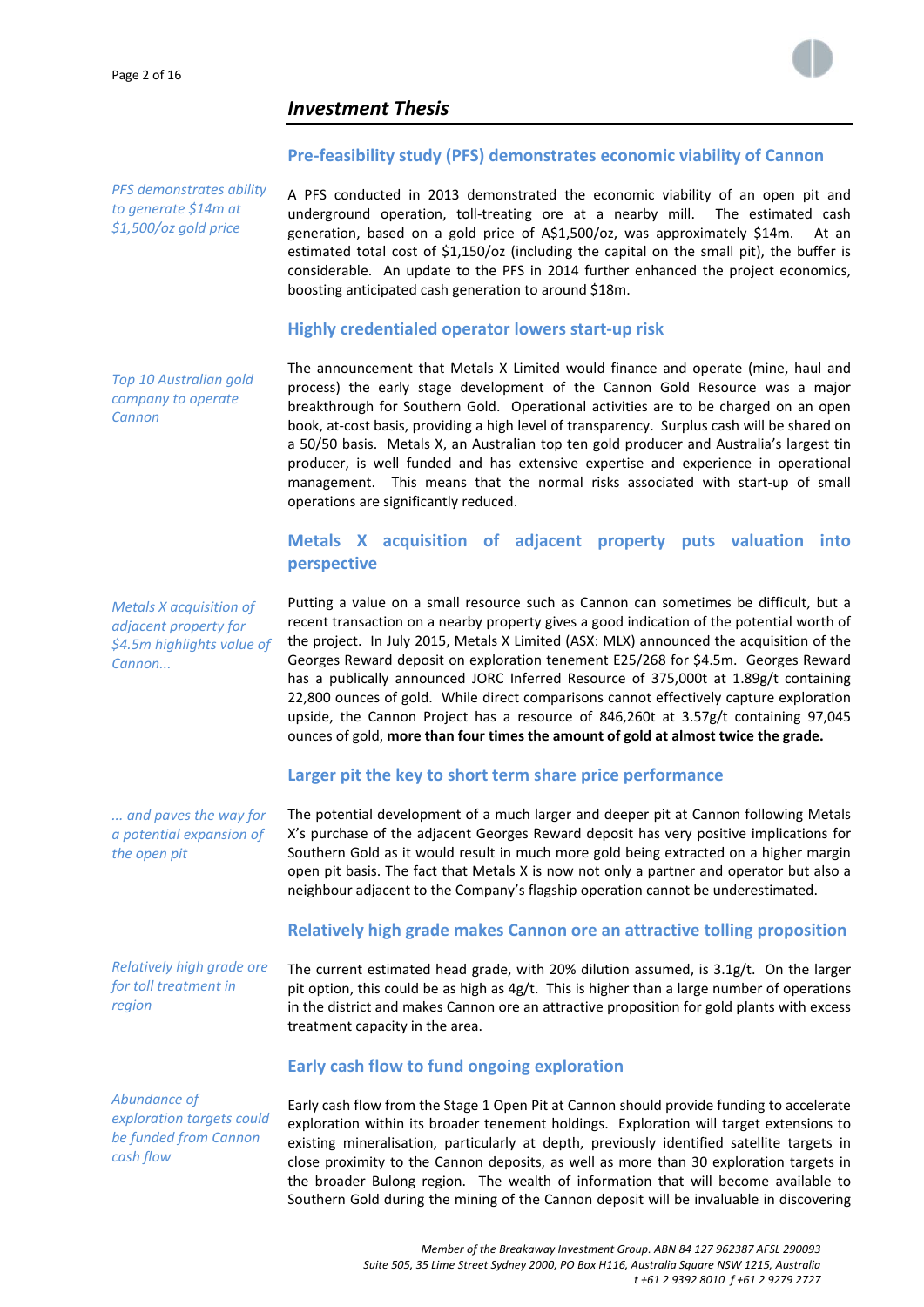

# *Investment Thesis*

# **Pre‐feasibility study (PFS) demonstrates economic viability of Cannon**

*PFS demonstrates ability to generate \$14m at \$1,500/oz gold price*

A PFS conducted in 2013 demonstrated the economic viability of an open pit and underground operation, toll-treating ore at a nearby mill. The estimated cash generation, based on a gold price of A\$1,500/oz, was approximately \$14m. At an estimated total cost of \$1,150/oz (including the capital on the small pit), the buffer is considerable. An update to the PFS in 2014 further enhanced the project economics, boosting anticipated cash generation to around \$18m.

## **Highly credentialed operator lowers start‐up risk**

*Top 10 Australian gold company to operate Cannon*

The announcement that Metals X Limited would finance and operate (mine, haul and process) the early stage development of the Cannon Gold Resource was a major breakthrough for Southern Gold. Operational activities are to be charged on an open book, at‐cost basis, providing a high level of transparency. Surplus cash will be shared on a 50/50 basis. Metals X, an Australian top ten gold producer and Australia's largest tin producer, is well funded and has extensive expertise and experience in operational management. This means that the normal risks associated with start‐up of small operations are significantly reduced.

# **Metals X acquisition of adjacent property puts valuation into perspective**

*Metals X acquisition of adjacent property for \$4.5m highlights value of*  $Cannon...$ 

*... and paves the way for a potential expansion of the open pit* 

*Relatively high grade ore for toll treatment in region*

*Abundance of exploration targets could be funded from Cannon cash flow*

Putting a value on a small resource such as Cannon can sometimes be difficult, but a recent transaction on a nearby property gives a good indication of the potential worth of the project. In July 2015, Metals X Limited (ASX: MLX) announced the acquisition of the Georges Reward deposit on exploration tenement E25/268 for \$4.5m. Georges Reward has a publically announced JORC Inferred Resource of 375,000t at 1.89g/t containing 22,800 ounces of gold. While direct comparisons cannot effectively capture exploration upside, the Cannon Project has a resource of 846,260t at 3.57g/t containing 97,045 ounces of gold, **more than four times the amount of gold at almost twice the grade.**

# **Larger pit the key to short term share price performance**

The potential development of a much larger and deeper pit at Cannon following Metals X's purchase of the adjacent Georges Reward deposit has very positive implications for Southern Gold as it would result in much more gold being extracted on a higher margin open pit basis. The fact that Metals X is now not only a partner and operator but also a neighbour adjacent to the Company's flagship operation cannot be underestimated.

# **Relatively high grade makes Cannon ore an attractive tolling proposition**

The current estimated head grade, with 20% dilution assumed, is 3.1g/t. On the larger pit option, this could be as high as 4g/t. This is higher than a large number of operations in the district and makes Cannon ore an attractive proposition for gold plants with excess treatment capacity in the area.

# **Early cash flow to fund ongoing exploration**

Early cash flow from the Stage 1 Open Pit at Cannon should provide funding to accelerate exploration within its broader tenement holdings. Exploration will target extensions to existing mineralisation, particularly at depth, previously identified satellite targets in close proximity to the Cannon deposits, as well as more than 30 exploration targets in the broader Bulong region. The wealth of information that will become available to Southern Gold during the mining of the Cannon deposit will be invaluable in discovering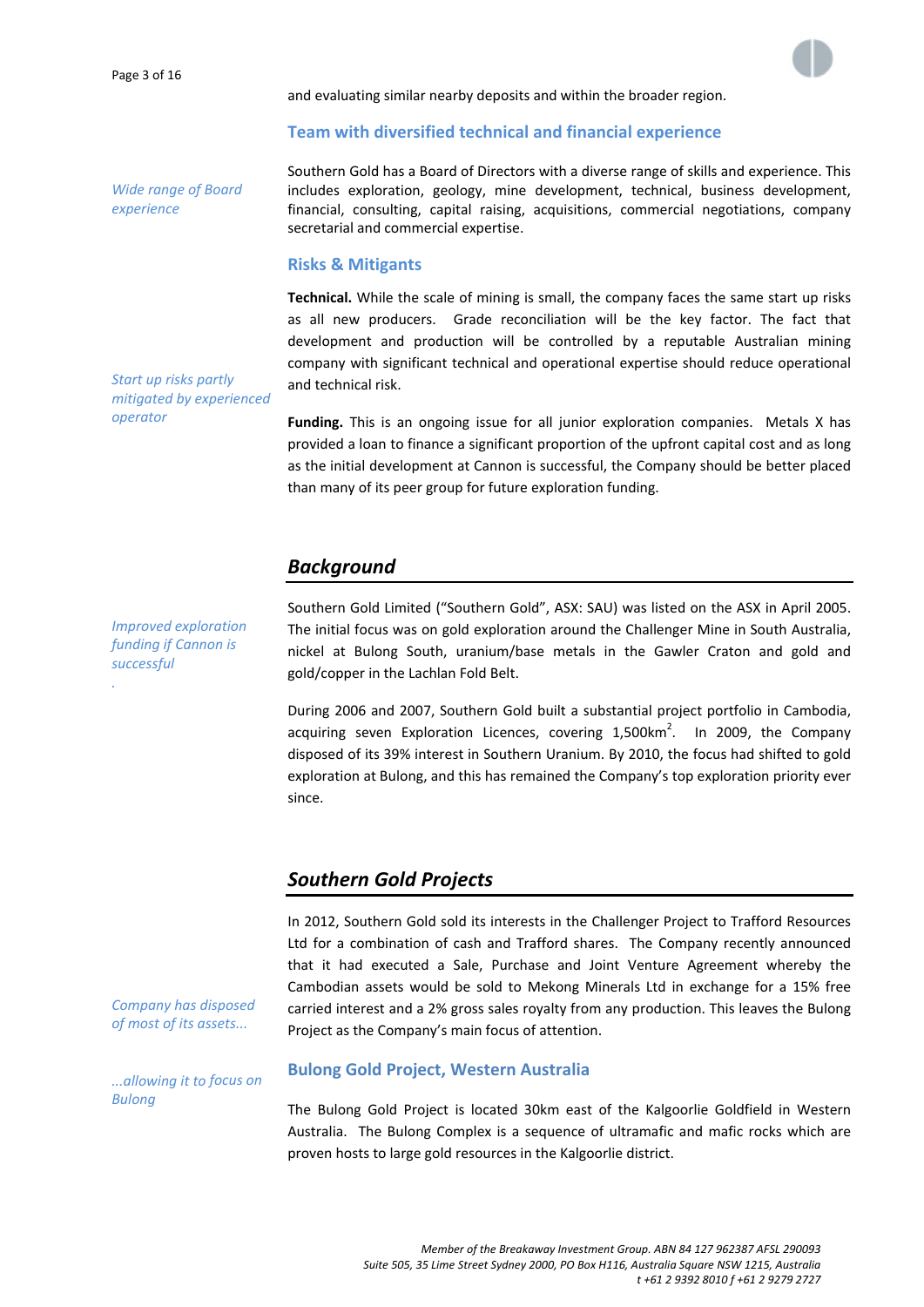

#### and evaluating similar nearby deposits and within the broader region.

# **Team with diversified technical and financial experience**

*Wide range of Board experience*

Southern Gold has a Board of Directors with a diverse range of skills and experience. This includes exploration, geology, mine development, technical, business development, financial, consulting, capital raising, acquisitions, commercial negotiations, company secretarial and commercial expertise.

## **Risks & Mitigants**

**Technical.** While the scale of mining is small, the company faces the same start up risks as all new producers. Grade reconciliation will be the key factor. The fact that development and production will be controlled by a reputable Australian mining company with significant technical and operational expertise should reduce operational and technical risk.

*Start up risks partly mitigated by experienced operator*

**Funding.** This is an ongoing issue for all junior exploration companies. Metals X has provided a loan to finance a significant proportion of the upfront capital cost and as long as the initial development at Cannon is successful, the Company should be better placed than many of its peer group for future exploration funding.

# *Background*

*Improved exploration funding if Cannon is successful .*

Southern Gold Limited ("Southern Gold", ASX: SAU) was listed on the ASX in April 2005. The initial focus was on gold exploration around the Challenger Mine in South Australia, nickel at Bulong South, uranium/base metals in the Gawler Craton and gold and gold/copper in the Lachlan Fold Belt.

During 2006 and 2007, Southern Gold built a substantial project portfolio in Cambodia, acquiring seven Exploration Licences, covering  $1,500$ km<sup>2</sup>. In 2009, the Company disposed of its 39% interest in Southern Uranium. By 2010, the focus had shifted to gold exploration at Bulong, and this has remained the Company's top exploration priority ever since.

# *Southern Gold Projects*

In 2012, Southern Gold sold its interests in the Challenger Project to Trafford Resources Ltd for a combination of cash and Trafford shares. The Company recently announced that it had executed a Sale, Purchase and Joint Venture Agreement whereby the Cambodian assets would be sold to Mekong Minerals Ltd in exchange for a 15% free carried interest and a 2% gross sales royalty from any production. This leaves the Bulong Project as the Company's main focus of attention.

*Company has disposed of most of its assets...*

*...allowing it to focus on Bulong*

## **Bulong Gold Project, Western Australia**

The Bulong Gold Project is located 30km east of the Kalgoorlie Goldfield in Western Australia. The Bulong Complex is a sequence of ultramafic and mafic rocks which are proven hosts to large gold resources in the Kalgoorlie district.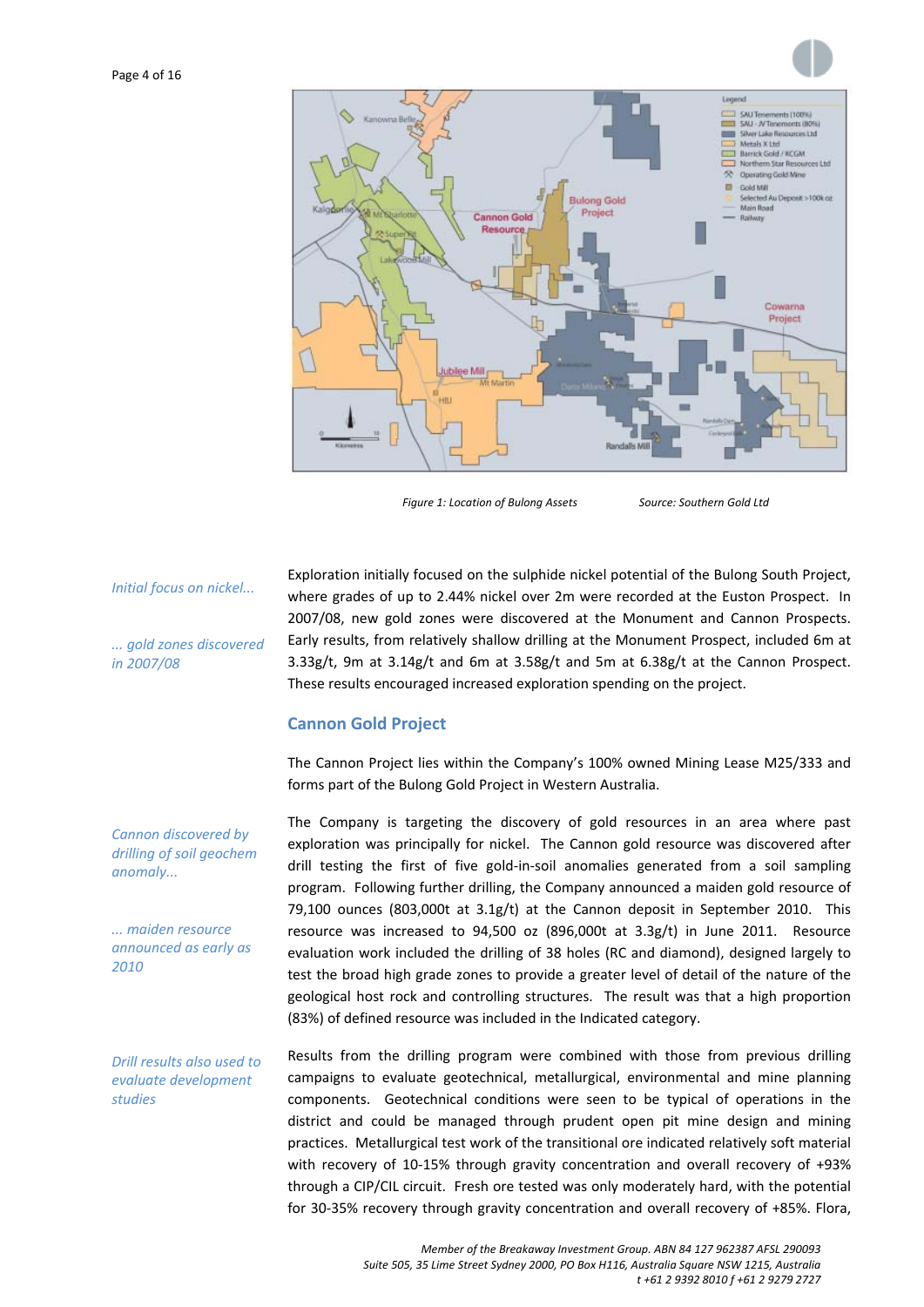

*Figure 1: Location of Bulong Assets Source: Southern Gold Ltd*

*Initial focus on nickel...*

*... gold zones discovered in 2007/08*

Exploration initially focused on the sulphide nickel potential of the Bulong South Project, where grades of up to 2.44% nickel over 2m were recorded at the Euston Prospect. In 2007/08, new gold zones were discovered at the Monument and Cannon Prospects. Early results, from relatively shallow drilling at the Monument Prospect, included 6m at 3.33g/t, 9m at 3.14g/t and 6m at 3.58g/t and 5m at 6.38g/t at the Cannon Prospect. These results encouraged increased exploration spending on the project.

## **Cannon Gold Project**

The Cannon Project lies within the Company's 100% owned Mining Lease M25/333 and forms part of the Bulong Gold Project in Western Australia.

The Company is targeting the discovery of gold resources in an area where past exploration was principally for nickel. The Cannon gold resource was discovered after drill testing the first of five gold‐in‐soil anomalies generated from a soil sampling program. Following further drilling, the Company announced a maiden gold resource of  $79,100$  ounces (803,000t at  $3.1g/t$ ) at the Cannon deposit in September 2010. This resource was increased to 94,500 oz (896,000t at 3.3g/t) in June 2011. Resource evaluation work included the drilling of 38 holes (RC and diamond), designed largely to test the broad high grade zones to provide a greater level of detail of the nature of the geological host rock and controlling structures. The result was that a high proportion (83%) of defined resource was included in the Indicated category.

Results from the drilling program were combined with those from previous drilling campaigns to evaluate geotechnical, metallurgical, environmental and mine planning components. Geotechnical conditions were seen to be typical of operations in the district and could be managed through prudent open pit mine design and mining practices. Metallurgical test work of the transitional ore indicated relatively soft material with recovery of 10-15% through gravity concentration and overall recovery of +93% through a CIP/CIL circuit. Fresh ore tested was only moderately hard, with the potential for 30‐35% recovery through gravity concentration and overall recovery of +85%. Flora,

*Cannon discovered by drilling of soil geochem anomaly...*

*... maiden resource announced as early as 2010*

*Drill results also used to evaluate development studies*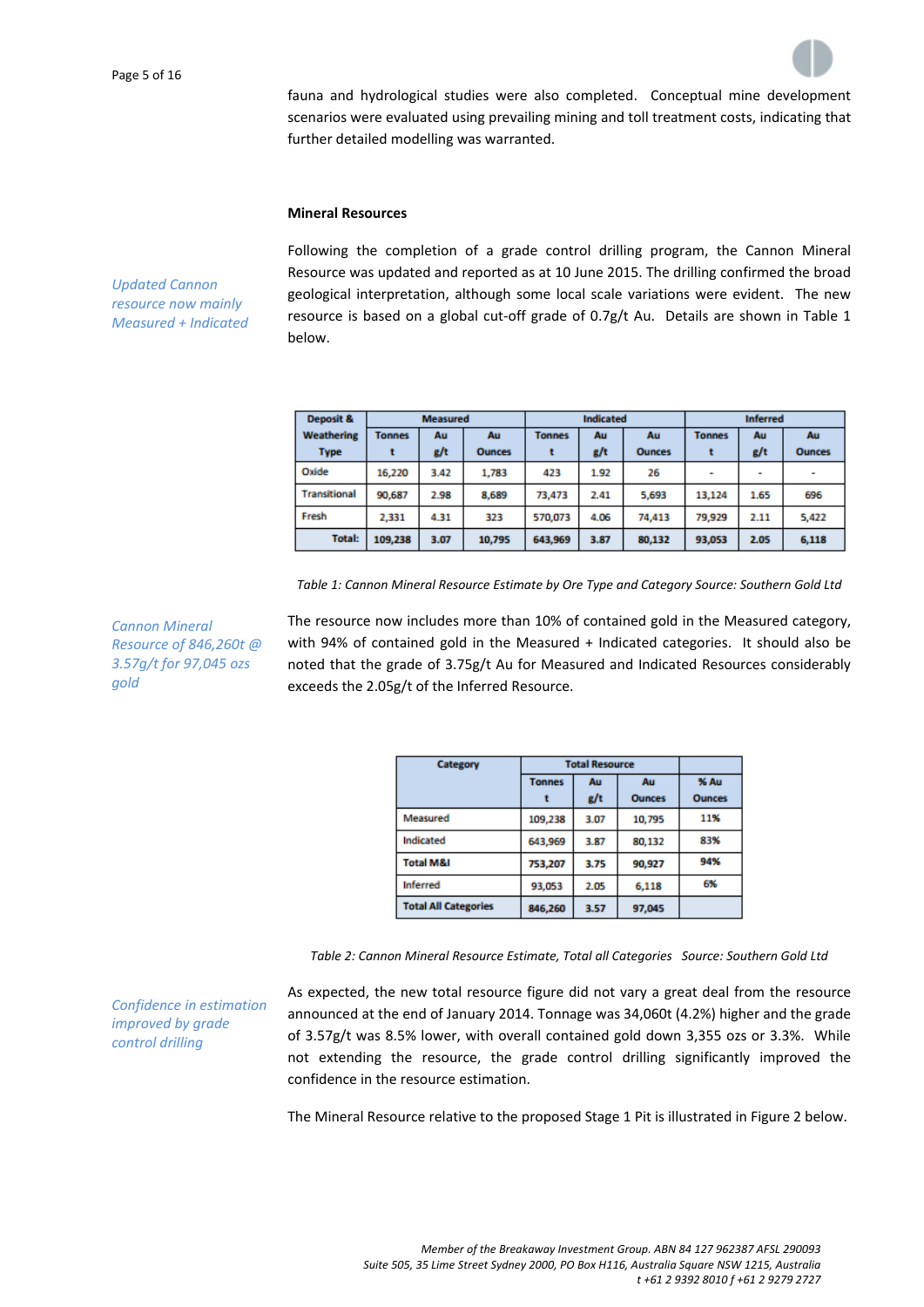fauna and hydrological studies were also completed. Conceptual mine development scenarios were evaluated using prevailing mining and toll treatment costs, indicating that further detailed modelling was warranted.

## **Mineral Resources**

*Updated Cannon resource now mainly Measured + Indicated* Following the completion of a grade control drilling program, the Cannon Mineral Resource was updated and reported as at 10 June 2015. The drilling confirmed the broad geological interpretation, although some local scale variations were evident. The new resource is based on a global cut-off grade of  $0.7g/t$  Au. Details are shown in Table 1 below.

| <b>Deposit &amp;</b>                    | <b>Measured</b> |               |               | <b>Indicated</b> |               | <b>Inferred</b> |                          |      |               |
|-----------------------------------------|-----------------|---------------|---------------|------------------|---------------|-----------------|--------------------------|------|---------------|
| Weathering<br>Au<br>Au<br><b>Tonnes</b> |                 | <b>Tonnes</b> | Au            | Au               | <b>Tonnes</b> | Au              | Au                       |      |               |
| <b>Type</b>                             |                 | g/t           | <b>Ounces</b> |                  | g/t           | <b>Ounces</b>   |                          | g/t  | <b>Ounces</b> |
| Oxide                                   | 16.220          | 3.42          | 1,783         | 423              | 1.92          | 26              | $\overline{\phantom{a}}$ | ۰    | $\sim$        |
| Transitional                            | 90,687          | 2.98          | 8,689         | 73,473           | 2.41          | 5,693           | 13,124                   | 1.65 | 696           |
| Fresh                                   | 2,331           | 4.31          | 323           | 570,073          | 4.06          | 74,413          | 79,929                   | 2.11 | 5,422         |
| <b>Total:</b>                           | 109,238         | 3.07          | 10,795        | 643,969          | 3.87          | 80,132          | 93,053                   | 2.05 | 6,118         |

*Table 1: Cannon Mineral Resource Estimate by Ore Type and Category Source: Southern Gold Ltd*

*Cannon Mineral Resource of 846,260t @ 3.57g/t for 97,045 ozs gold*

*Confidence in estimation improved by grade control drilling*

The resource now includes more than 10% of contained gold in the Measured category, with 94% of contained gold in the Measured + Indicated categories. It should also be noted that the grade of 3.75g/t Au for Measured and Indicated Resources considerably exceeds the 2.05g/t of the Inferred Resource.

| Category                    | <b>Total Resource</b> |      |               |               |
|-----------------------------|-----------------------|------|---------------|---------------|
|                             | <b>Tonnes</b><br>Au   |      | Au            | % Au          |
|                             |                       | g/t  | <b>Ounces</b> | <b>Ounces</b> |
| Measured                    | 109,238               | 3.07 | 10,795        | 11%           |
| Indicated                   | 643,969               | 3.87 | 80,132        | 83%           |
| <b>Total M&amp;I</b>        | 753,207               | 3.75 | 90,927        | 94%           |
| <b>Inferred</b>             | 93,053                | 2.05 | 6,118         | 6%            |
| <b>Total All Categories</b> | 846,260               | 3.57 | 97,045        |               |

*Table 2: Cannon Mineral Resource Estimate, Total all Categories Source: Southern Gold Ltd*

As expected, the new total resource figure did not vary a great deal from the resource announced at the end of January 2014. Tonnage was 34,060t (4.2%) higher and the grade of 3.57g/t was 8.5% lower, with overall contained gold down 3,355 ozs or 3.3%. While not extending the resource, the grade control drilling significantly improved the confidence in the resource estimation.

The Mineral Resource relative to the proposed Stage 1 Pit is illustrated in Figure 2 below.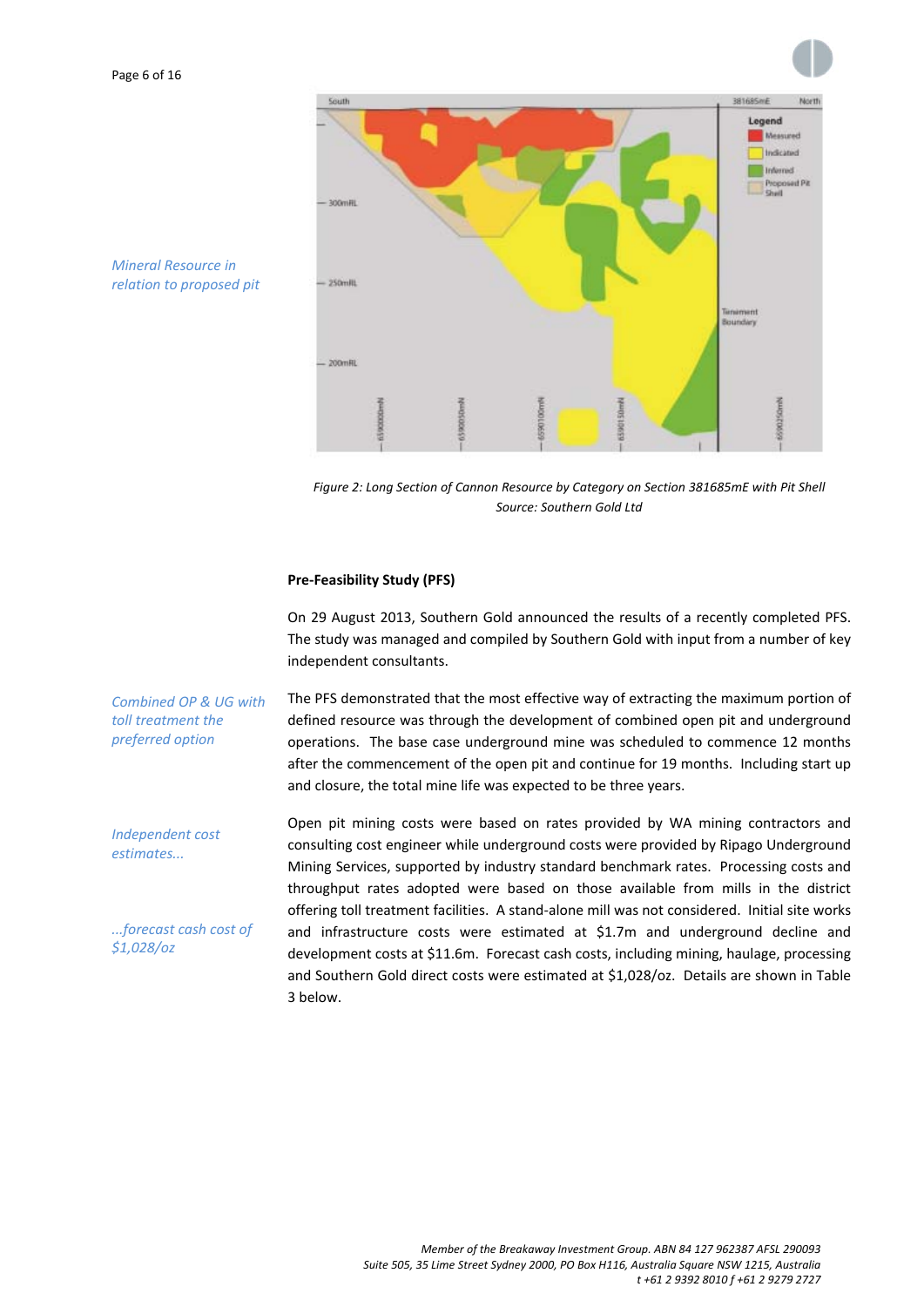

*Mineral Resource in relation to proposed pit*

*estimates...*

*\$1,028/oz*

*Figure 2: Long Section of Cannon Resource by Category on Section 381685mE with Pit Shell Source: Southern Gold Ltd*

## **Pre‐Feasibility Study (PFS)**

On 29 August 2013, Southern Gold announced the results of a recently completed PFS. The study was managed and compiled by Southern Gold with input from a number of key independent consultants.

*Combined OP & UG with toll treatment the preferred option* The PFS demonstrated that the most effective way of extracting the maximum portion of defined resource was through the development of combined open pit and underground operations. The base case underground mine was scheduled to commence 12 months after the commencement of the open pit and continue for 19 months. Including start up and closure, the total mine life was expected to be three years.

*Independent cost ...forecast cash cost of* Open pit mining costs were based on rates provided by WA mining contractors and consulting cost engineer while underground costs were provided by Ripago Underground Mining Services, supported by industry standard benchmark rates. Processing costs and throughput rates adopted were based on those available from mills in the district offering toll treatment facilities. A stand‐alone mill was not considered. Initial site works and infrastructure costs were estimated at \$1.7m and underground decline and development costs at \$11.6m. Forecast cash costs, including mining, haulage, processing and Southern Gold direct costs were estimated at \$1,028/oz. Details are shown in Table 3 below.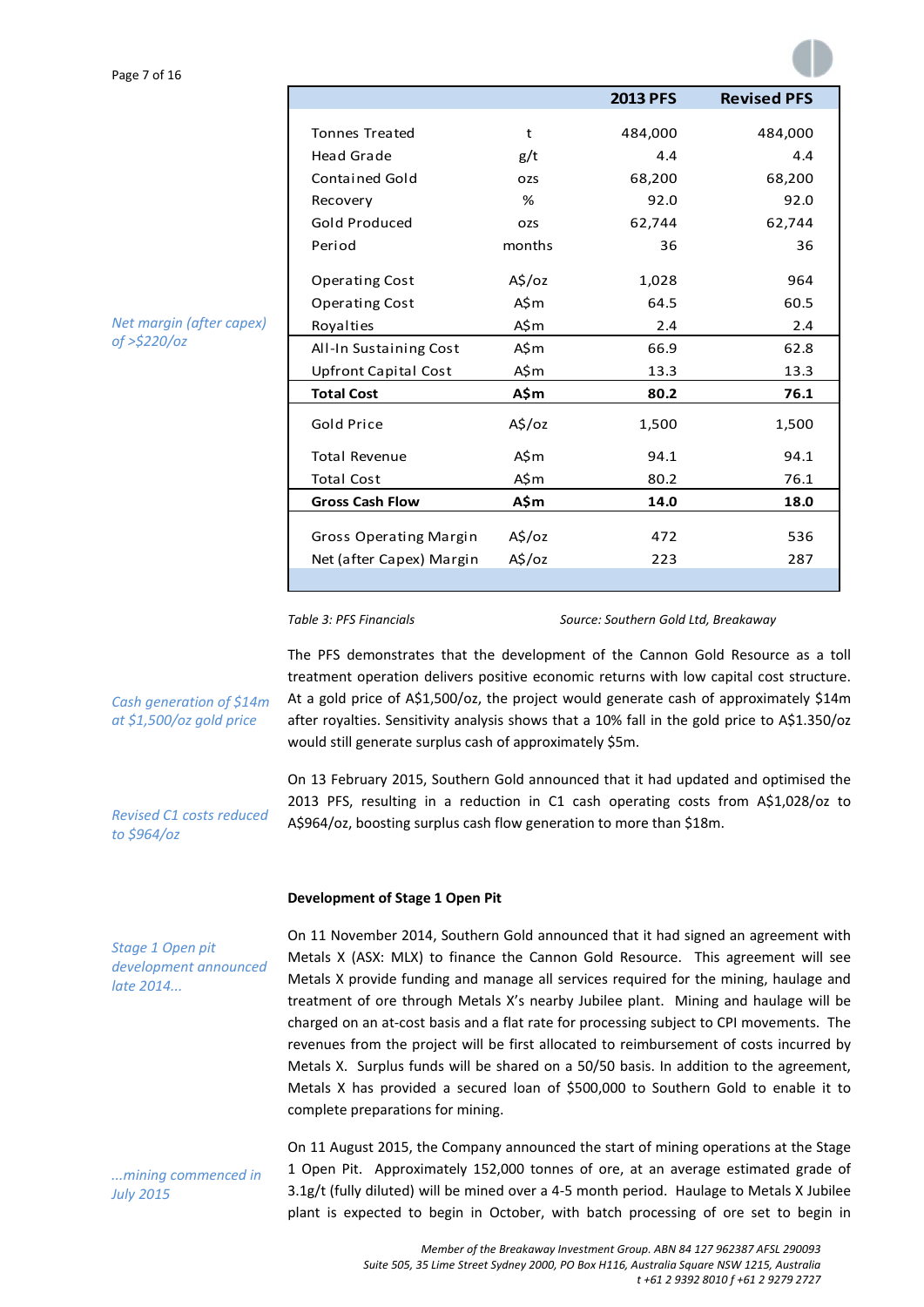|                             |                 | <b>2013 PFS</b> | <b>Revised PFS</b> |  |
|-----------------------------|-----------------|-----------------|--------------------|--|
|                             |                 |                 |                    |  |
| <b>Tonnes Treated</b>       | t               | 484,000         | 484,000            |  |
| <b>Head Grade</b>           | g/t             | 4.4             | 4.4                |  |
| <b>Contained Gold</b>       | <b>OZS</b>      | 68,200          | 68,200             |  |
| Recovery                    | %               | 92.0            | 92.0               |  |
| Gold Produced               | <b>OZS</b>      | 62,744          | 62,744             |  |
| Period                      | months          | 36              | 36                 |  |
|                             |                 |                 |                    |  |
| <b>Operating Cost</b>       | $A\sin 2\theta$ | 1,028           | 964                |  |
| <b>Operating Cost</b>       | A\$m            | 64.5            | 60.5               |  |
| Royalties                   | A\$m            | 2.4             | 2.4                |  |
| All-In Sustaining Cost      | A\$m            | 66.9            | 62.8               |  |
| <b>Upfront Capital Cost</b> | A\$m            | 13.3            | 13.3               |  |
| <b>Total Cost</b>           | A\$m            | 80.2            | 76.1               |  |
| <b>Gold Price</b>           | A\$/oz          | 1,500           | 1,500              |  |
| <b>Total Revenue</b>        | A\$m            | 94.1            | 94.1               |  |
| <b>Total Cost</b>           | A\$m            | 80.2            | 76.1               |  |
| <b>Gross Cash Flow</b>      | A\$m            | 14.0            | 18.0               |  |
|                             |                 |                 |                    |  |
| Gross Operating Margin      | A\$/oz          | 472             | 536                |  |
| Net (after Capex) Margin    | A\$/oz          | 223             | 287                |  |
|                             |                 |                 |                    |  |

*Net margin (after capex) of >\$220/oz*

*Table 3: PFS Financials Source: Southern Gold Ltd, Breakaway*

The PFS demonstrates that the development of the Cannon Gold Resource as a toll treatment operation delivers positive economic returns with low capital cost structure. At a gold price of A\$1,500/oz, the project would generate cash of approximately \$14m after royalties. Sensitivity analysis shows that a 10% fall in the gold price to A\$1.350/oz would still generate surplus cash of approximately \$5m.

On 13 February 2015, Southern Gold announced that it had updated and optimised the 2013 PFS, resulting in a reduction in C1 cash operating costs from A\$1,028/oz to A\$964/oz, boosting surplus cash flow generation to more than \$18m.

## **Development of Stage 1 Open Pit**

*Stage 1 Open pit development announced late 2014...*

*Cash generation of \$14m at \$1,500/oz gold price*

*Revised C1 costs reduced*

*to \$964/oz*

*...mining commenced in July 2015*

On 11 November 2014, Southern Gold announced that it had signed an agreement with Metals X (ASX: MLX) to finance the Cannon Gold Resource. This agreement will see Metals X provide funding and manage all services required for the mining, haulage and treatment of ore through Metals X's nearby Jubilee plant. Mining and haulage will be charged on an at‐cost basis and a flat rate for processing subject to CPI movements. The revenues from the project will be first allocated to reimbursement of costs incurred by Metals X. Surplus funds will be shared on a 50/50 basis. In addition to the agreement, Metals X has provided a secured loan of \$500,000 to Southern Gold to enable it to complete preparations for mining.

On 11 August 2015, the Company announced the start of mining operations at the Stage 1 Open Pit. Approximately 152,000 tonnes of ore, at an average estimated grade of 3.1g/t (fully diluted) will be mined over a 4‐5 month period. Haulage to Metals X Jubilee plant is expected to begin in October, with batch processing of ore set to begin in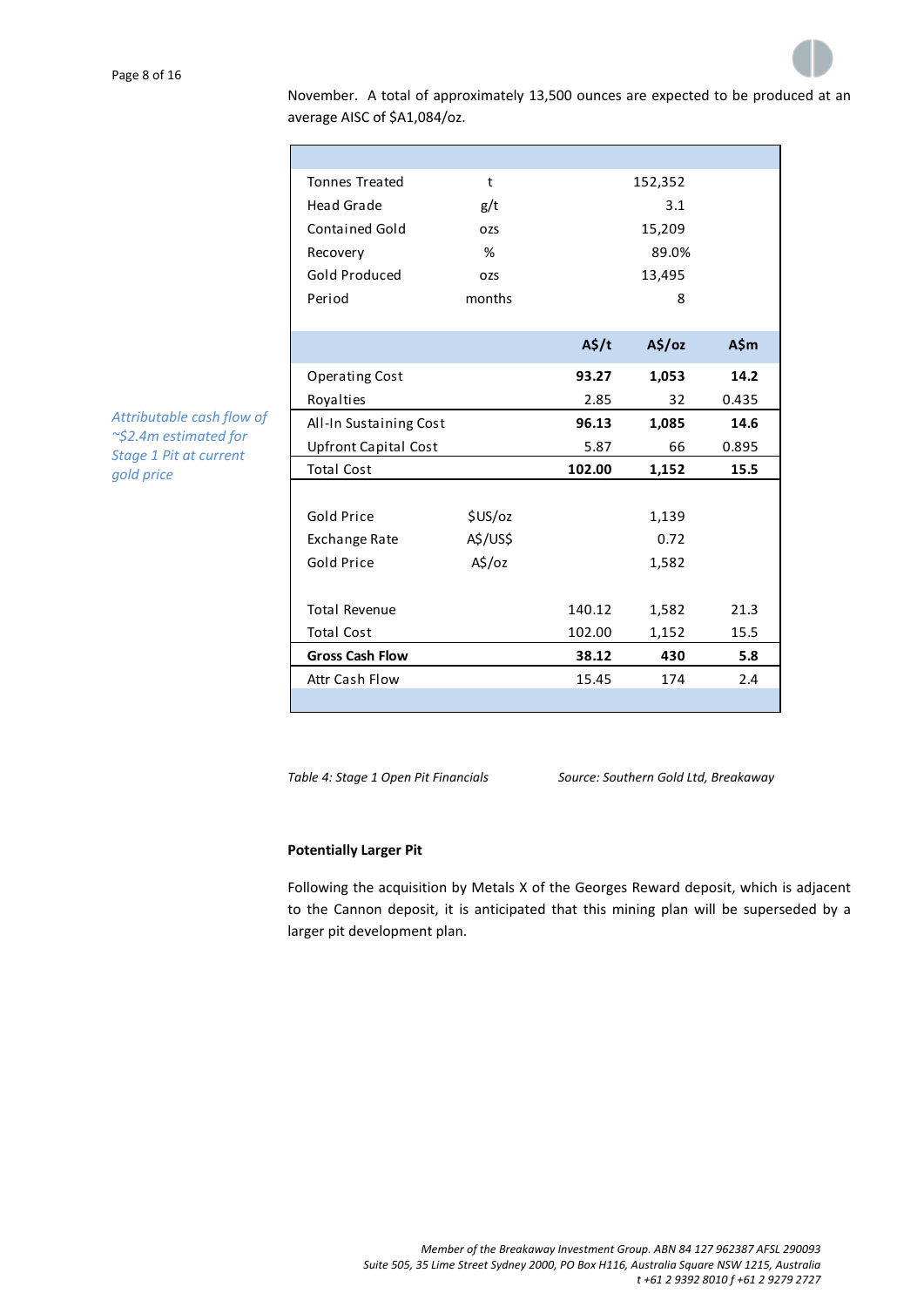

November. A total of approximately 13,500 ounces are expected to be produced at an average AISC of \$A1,084/oz.

| <b>Tonnes Treated</b>       | t                  |                   | 152,352 |       |
|-----------------------------|--------------------|-------------------|---------|-------|
| <b>Head Grade</b>           | g/t                |                   | 3.1     |       |
| <b>Contained Gold</b>       | OZS                | 15,209            |         |       |
| Recovery                    | %                  |                   | 89.0%   |       |
| Gold Produced               | OZS                | 13,495            |         |       |
| Period                      | months             |                   | 8       |       |
|                             |                    |                   |         |       |
|                             |                    | $A\frac{2}{3}$ /t | A\$/oz  | A\$m  |
| <b>Operating Cost</b>       |                    | 93.27             | 1,053   | 14.2  |
| Royalties                   |                    | 2.85              | 32      | 0.435 |
| All-In Sustaining Cost      |                    | 96.13             | 1,085   | 14.6  |
| <b>Upfront Capital Cost</b> |                    | 5.87              | 66      | 0.895 |
| <b>Total Cost</b>           |                    | 102.00            | 1,152   | 15.5  |
|                             |                    |                   |         |       |
| Gold Price                  | \$US/oz            |                   | 1,139   |       |
| Exchange Rate               | A\$/US\$           |                   | 0.72    |       |
| Gold Price                  | $A\frac{1}{2}$ /oz |                   | 1,582   |       |
|                             |                    |                   |         |       |
| <b>Total Revenue</b>        |                    | 140.12            | 1,582   | 21.3  |
| <b>Total Cost</b>           |                    | 102.00            | 1,152   | 15.5  |
| <b>Gross Cash Flow</b>      |                    | 38.12             | 430     | 5.8   |
| Attr Cash Flow              |                    | 15.45             | 174     | 2.4   |
|                             |                    |                   |         |       |

*Attributable cash flow of ~\$2.4m estimated for Stage 1 Pit at current gold price*

*Table 4: Stage 1 Open Pit Financials Source: Southern Gold Ltd, Breakaway*

## **Potentially Larger Pit**

Following the acquisition by Metals X of the Georges Reward deposit, which is adjacent to the Cannon deposit, it is anticipated that this mining plan will be superseded by a larger pit development plan.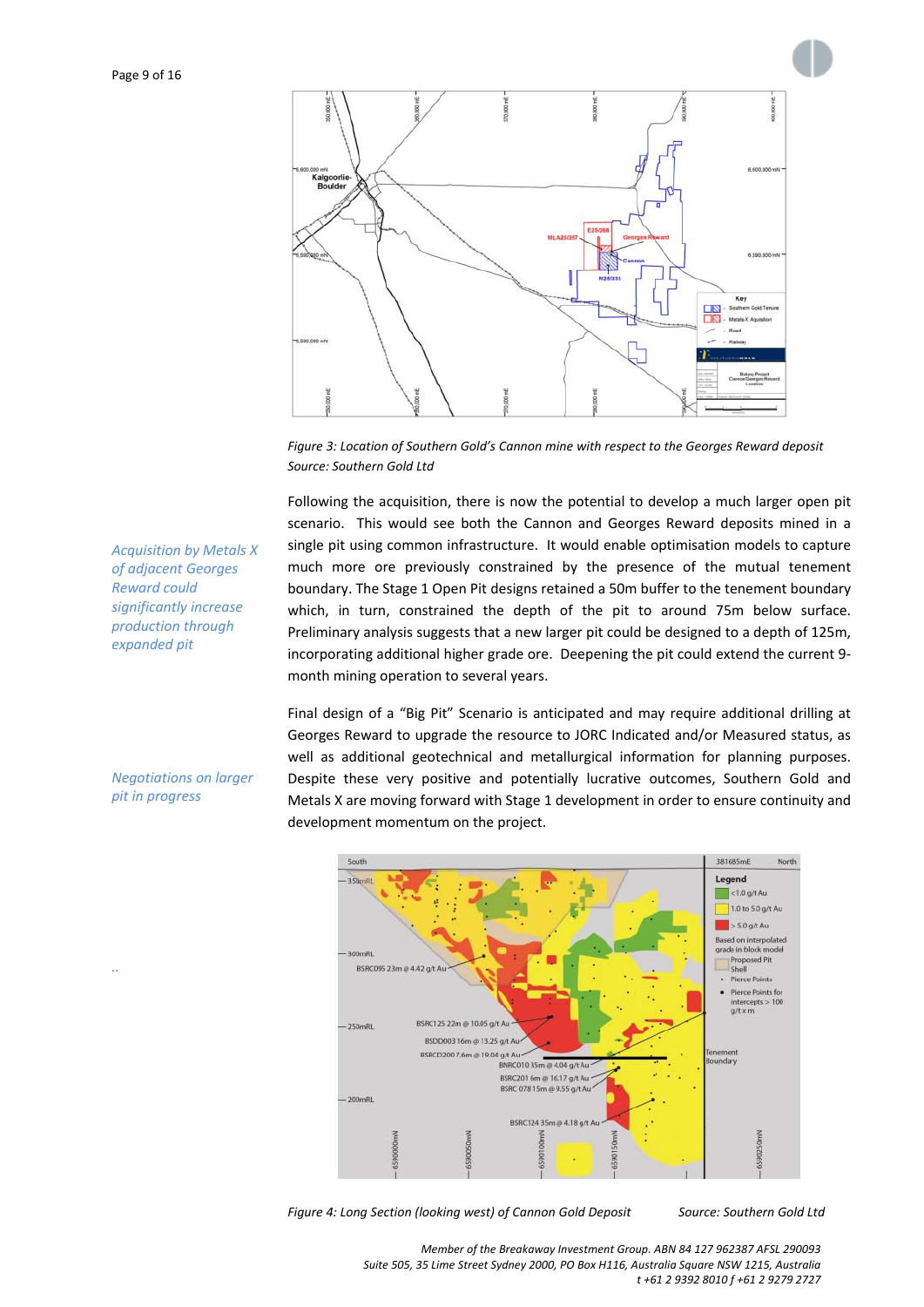

*Figure 3: Location of Southern Gold's Cannon mine with respect to the Georges Reward deposit Source: Southern Gold Ltd*

Following the acquisition, there is now the potential to develop a much larger open pit scenario. This would see both the Cannon and Georges Reward deposits mined in a single pit using common infrastructure. It would enable optimisation models to capture much more ore previously constrained by the presence of the mutual tenement boundary. The Stage 1 Open Pit designs retained a 50m buffer to the tenement boundary which, in turn, constrained the depth of the pit to around 75m below surface. Preliminary analysis suggests that a new larger pit could be designed to a depth of 125m, incorporating additional higher grade ore. Deepening the pit could extend the current 9‐ month mining operation to several years.

Final design of a "Big Pit" Scenario is anticipated and may require additional drilling at Georges Reward to upgrade the resource to JORC Indicated and/or Measured status, as well as additional geotechnical and metallurgical information for planning purposes. Despite these very positive and potentially lucrative outcomes, Southern Gold and Metals X are moving forward with Stage 1 development in order to ensure continuity and development momentum on the project.



*Figure 4: Long Section (looking west) of Cannon Gold Deposit Source: Southern Gold Ltd*

*Acquisition by Metals X of adjacent Georges Reward could significantly increase production through expanded pit*

## *Negotiations on larger pit in progress*

*..*

*Member of the Breakaway Investment Group. ABN 84 127 962387 AFSL 290093 Suite 505, 35 Lime Street Sydney 2000, PO Box H116, Australia Square NSW 1215, Australia t +61 2 9392 8010 f +61 2 9279 2727*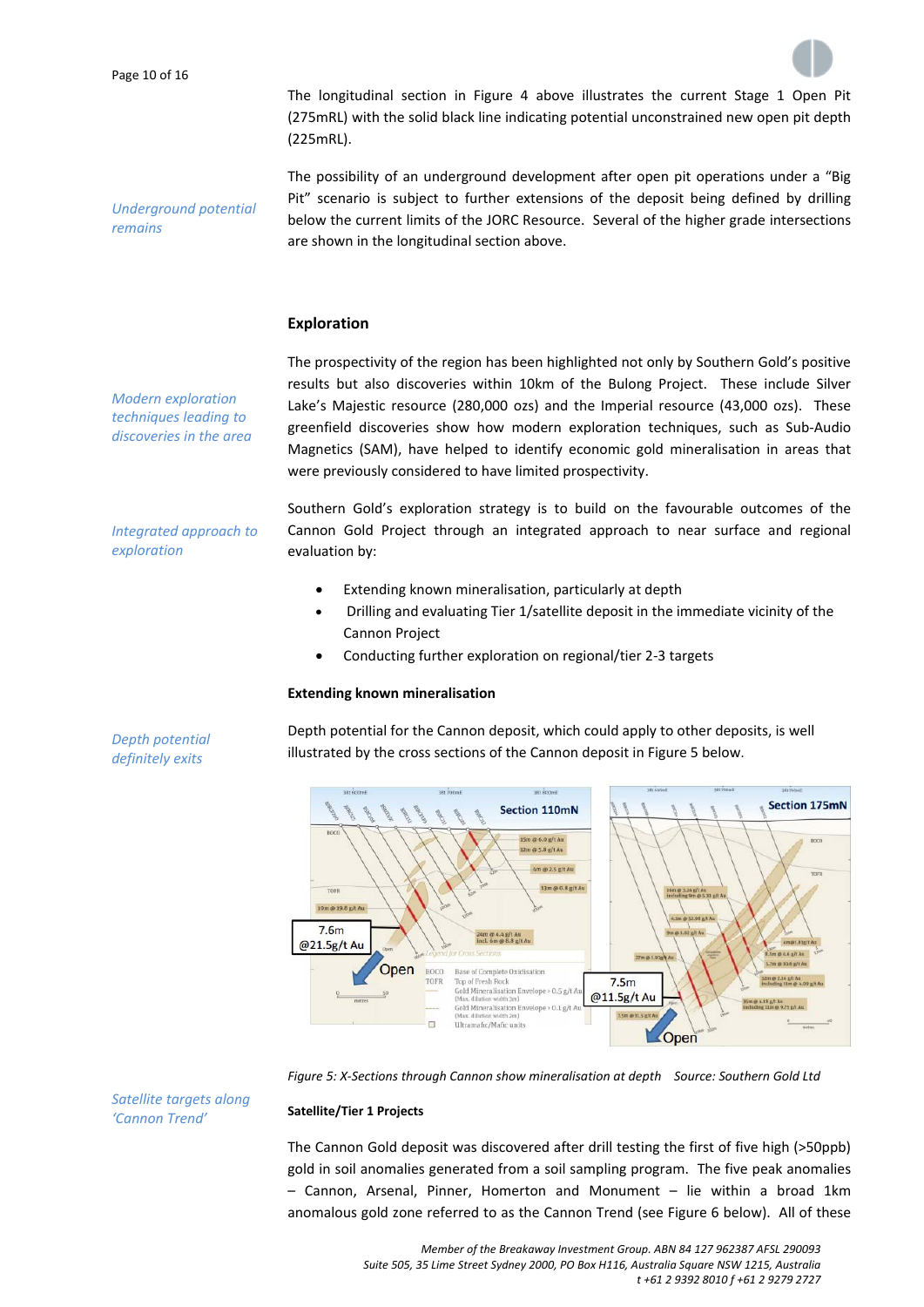*remains*



The longitudinal section in Figure 4 above illustrates the current Stage 1 Open Pit (275mRL) with the solid black line indicating potential unconstrained new open pit depth (225mRL).

The possibility of an underground development after open pit operations under a "Big Pit" scenario is subject to further extensions of the deposit being defined by drilling below the current limits of the JORC Resource. Several of the higher grade intersections are shown in the longitudinal section above.

## **Exploration**

*Modern exploration techniques leading to discoveries in the area*

*Integrated approach to*

*exploration*

*Underground potential*

The prospectivity of the region has been highlighted not only by Southern Gold's positive results but also discoveries within 10km of the Bulong Project. These include Silver Lake's Majestic resource (280,000 ozs) and the Imperial resource (43,000 ozs). These greenfield discoveries show how modern exploration techniques, such as Sub‐Audio Magnetics (SAM), have helped to identify economic gold mineralisation in areas that were previously considered to have limited prospectivity.

Southern Gold's exploration strategy is to build on the favourable outcomes of the Cannon Gold Project through an integrated approach to near surface and regional evaluation by:

- Extending known mineralisation, particularly at depth
- Drilling and evaluating Tier 1/satellite deposit in the immediate vicinity of the Cannon Project
- Conducting further exploration on regional/tier 2‐3 targets

## **Extending known mineralisation**

Depth potential for the Cannon deposit, which could apply to other deposits, is well illustrated by the cross sections of the Cannon deposit in Figure 5 below.



*Figure 5: X‐Sections through Cannon show mineralisation at depth Source: Southern Gold Ltd*

#### **Satellite/Tier 1 Projects**

The Cannon Gold deposit was discovered after drill testing the first of five high (>50ppb) gold in soil anomalies generated from a soil sampling program. The five peak anomalies – Cannon, Arsenal, Pinner, Homerton and Monument – lie within a broad 1km anomalous gold zone referred to as the Cannon Trend (see Figure 6 below). All of these

*Depth potential definitely exits*

> *Member of the Breakaway Investment Group. ABN 84 127 962387 AFSL 290093 Suite 505, 35 Lime Street Sydney 2000, PO Box H116, Australia Square NSW 1215, Australia t +61 2 9392 8010 f +61 2 9279 2727*

*Satellite targets along 'Cannon Trend'*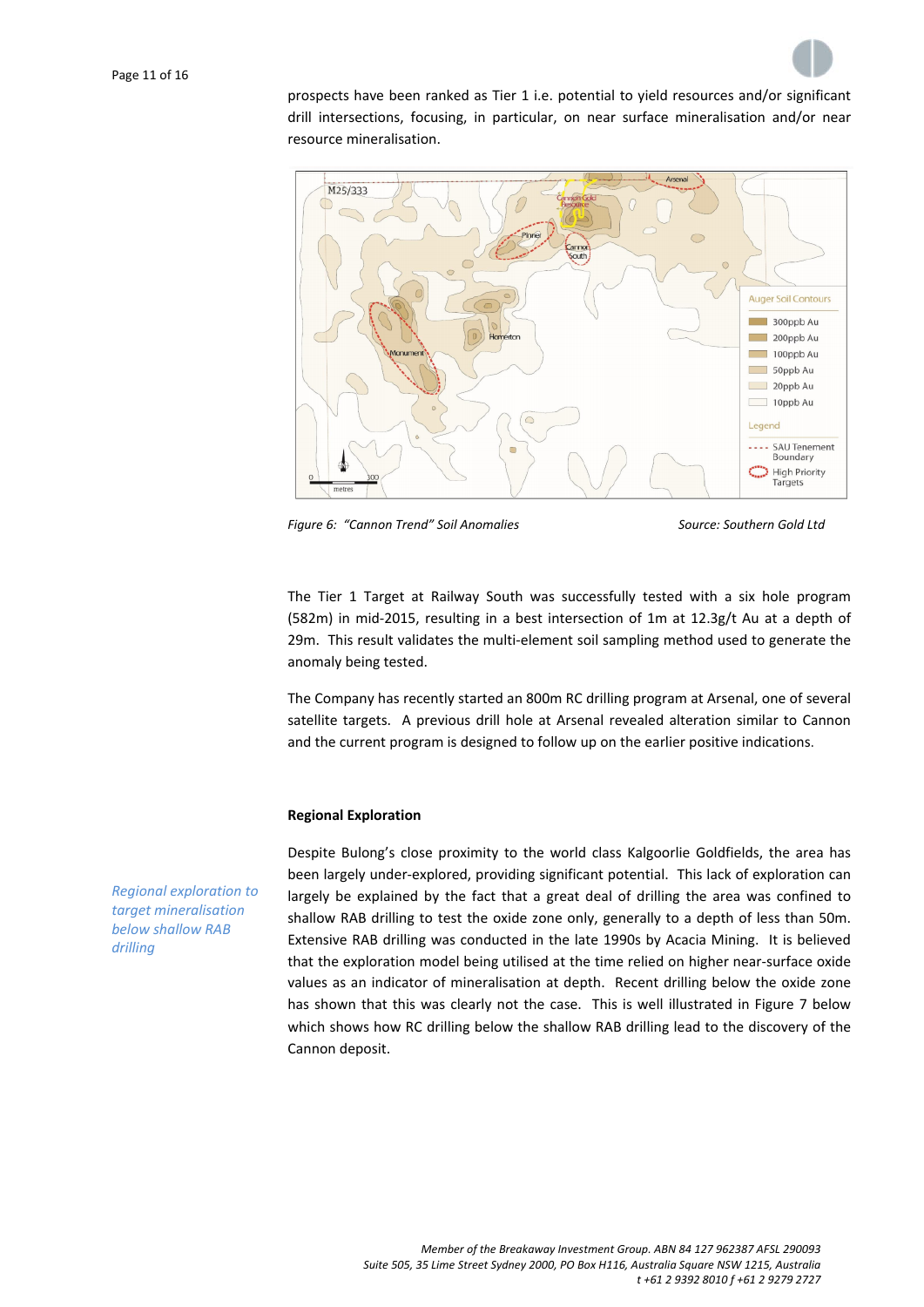

prospects have been ranked as Tier 1 i.e. potential to yield resources and/or significant drill intersections, focusing, in particular, on near surface mineralisation and/or near resource mineralisation.



*Figure 6: "Cannon Trend" Soil Anomalies Source: Southern Gold Ltd*

The Tier 1 Target at Railway South was successfully tested with a six hole program (582m) in mid‐2015, resulting in a best intersection of 1m at 12.3g/t Au at a depth of 29m. This result validates the multi-element soil sampling method used to generate the anomaly being tested.

The Company has recently started an 800m RC drilling program at Arsenal, one of several satellite targets. A previous drill hole at Arsenal revealed alteration similar to Cannon and the current program is designed to follow up on the earlier positive indications.

## **Regional Exploration**

Despite Bulong's close proximity to the world class Kalgoorlie Goldfields, the area has been largely under‐explored, providing significant potential. This lack of exploration can largely be explained by the fact that a great deal of drilling the area was confined to shallow RAB drilling to test the oxide zone only, generally to a depth of less than 50m. Extensive RAB drilling was conducted in the late 1990s by Acacia Mining. It is believed that the exploration model being utilised at the time relied on higher near-surface oxide values as an indicator of mineralisation at depth. Recent drilling below the oxide zone has shown that this was clearly not the case. This is well illustrated in Figure 7 below which shows how RC drilling below the shallow RAB drilling lead to the discovery of the Cannon deposit.

*Regional exploration to target mineralisation below shallow RAB drilling*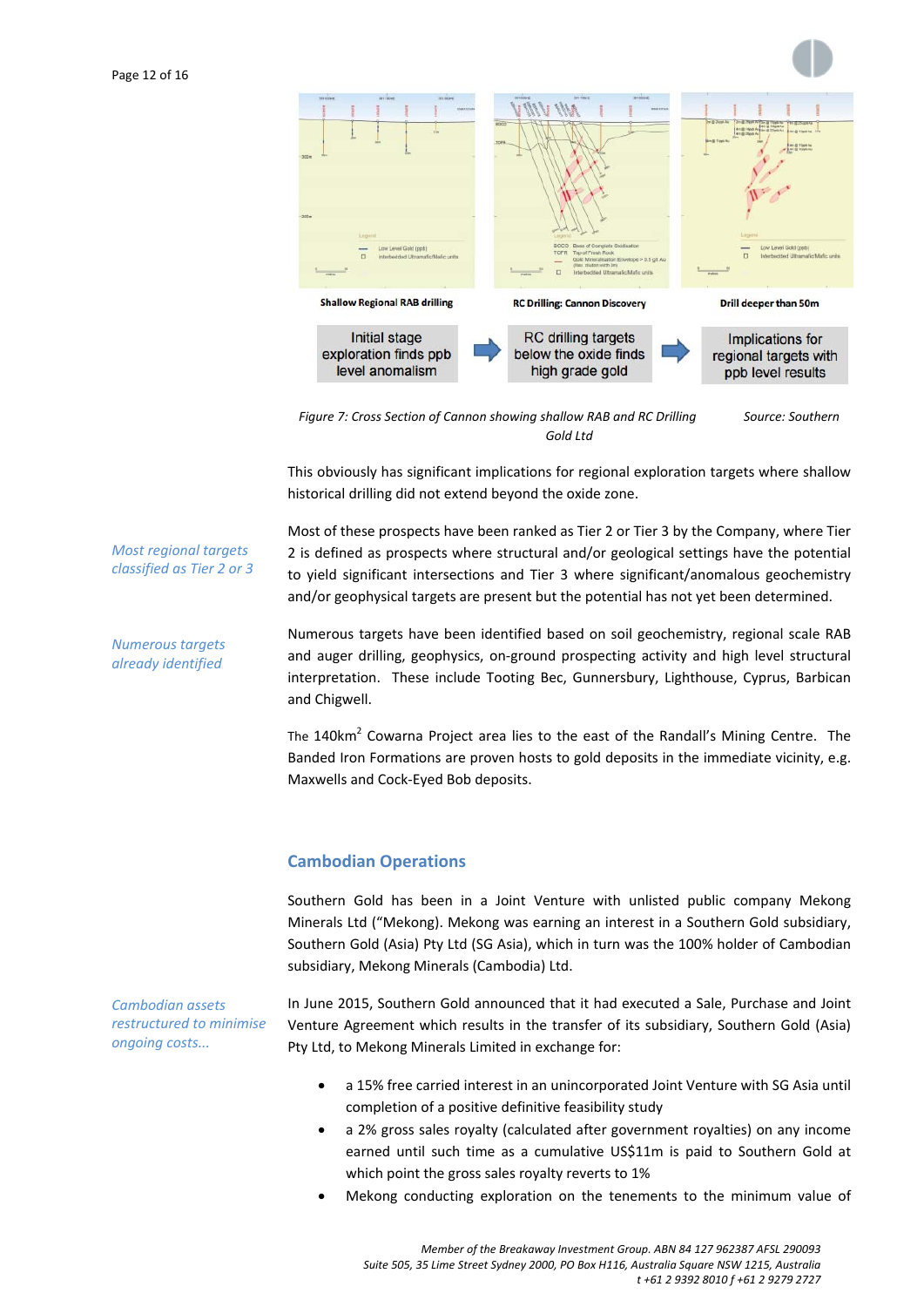



*Figure 7: Cross Section of Cannon showing shallow RAB and RC Drilling Source: Southern Gold Ltd*

This obviously has significant implications for regional exploration targets where shallow historical drilling did not extend beyond the oxide zone.

Most of these prospects have been ranked as Tier 2 or Tier 3 by the Company, where Tier 2 is defined as prospects where structural and/or geological settings have the potential to yield significant intersections and Tier 3 where significant/anomalous geochemistry and/or geophysical targets are present but the potential has not yet been determined.

Numerous targets have been identified based on soil geochemistry, regional scale RAB and auger drilling, geophysics, on‐ground prospecting activity and high level structural interpretation. These include Tooting Bec, Gunnersbury, Lighthouse, Cyprus, Barbican and Chigwell.

The  $140 \text{km}^2$  Cowarna Project area lies to the east of the Randall's Mining Centre. The Banded Iron Formations are proven hosts to gold deposits in the immediate vicinity, e.g. Maxwells and Cock‐Eyed Bob deposits.

# **Cambodian Operations**

Southern Gold has been in a Joint Venture with unlisted public company Mekong Minerals Ltd ("Mekong). Mekong was earning an interest in a Southern Gold subsidiary, Southern Gold (Asia) Pty Ltd (SG Asia), which in turn was the 100% holder of Cambodian subsidiary, Mekong Minerals (Cambodia) Ltd.

*Cambodian assets restructured to minimise ongoing costs...*

*Most regional targets classified as Tier 2 or 3*

*Numerous targets already identified*

> In June 2015, Southern Gold announced that it had executed a Sale, Purchase and Joint Venture Agreement which results in the transfer of its subsidiary, Southern Gold (Asia) Pty Ltd, to Mekong Minerals Limited in exchange for:

- a 15% free carried interest in an unincorporated Joint Venture with SG Asia until completion of a positive definitive feasibility study
- a 2% gross sales royalty (calculated after government royalties) on any income earned until such time as a cumulative US\$11m is paid to Southern Gold at which point the gross sales royalty reverts to 1%
- Mekong conducting exploration on the tenements to the minimum value of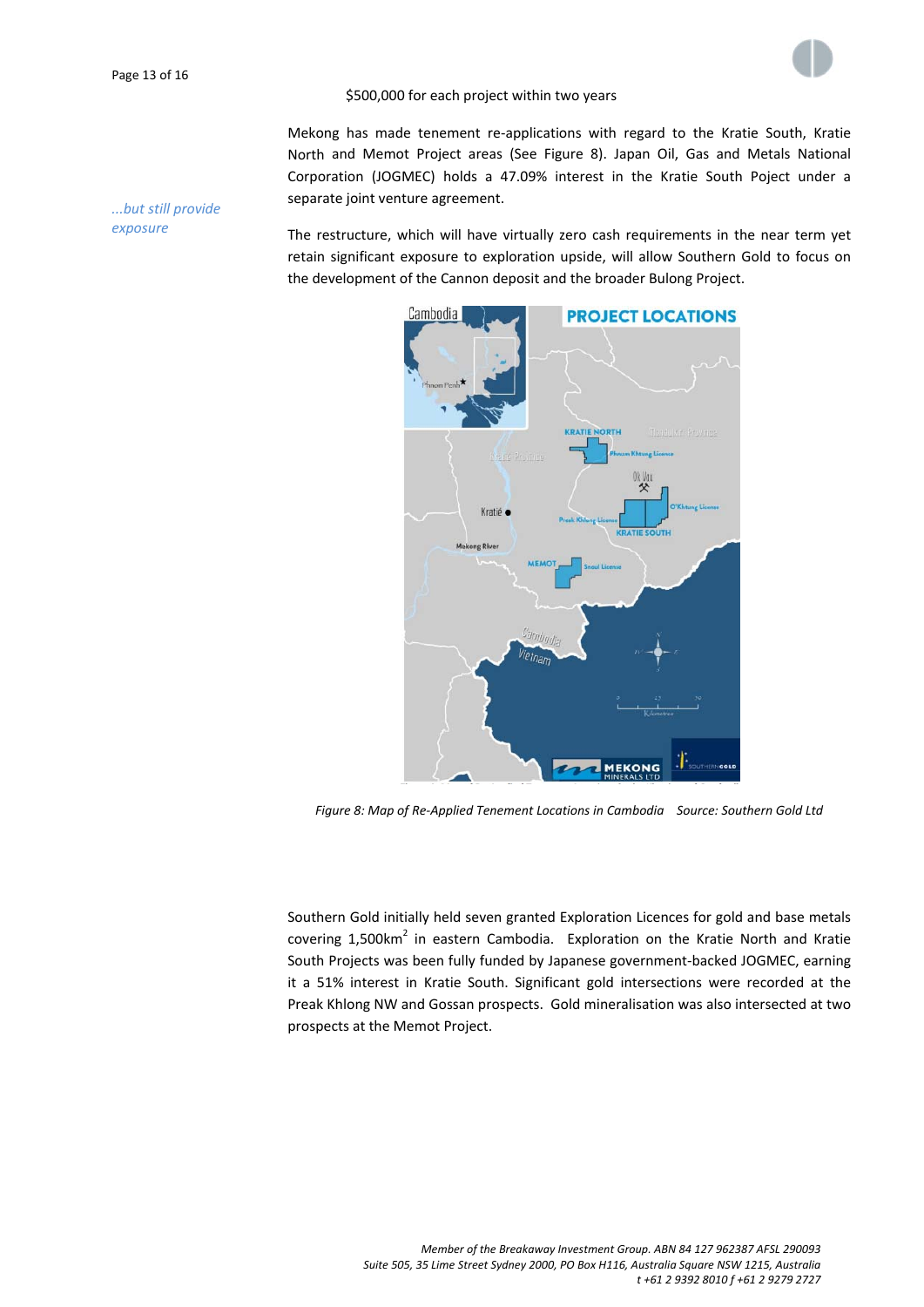

## \$500,000 for each project within two years

Mekong has made tenement re‐applications with regard to the Kratie South, Kratie North and Memot Project areas (See Figure 8). Japan Oil, Gas and Metals National Corporation (JOGMEC) holds a 47.09% interest in the Kratie South Poject under a separate joint venture agreement.

*...but still provide exposure*

The restructure, which will have virtually zero cash requirements in the near term yet retain significant exposure to exploration upside, will allow Southern Gold to focus on the development of the Cannon deposit and the broader Bulong Project.



*Figure 8: Map of Re‐Applied Tenement Locations in Cambodia Source: Southern Gold Ltd*

Southern Gold initially held seven granted Exploration Licences for gold and base metals covering  $1,500$ km<sup>2</sup> in eastern Cambodia. Exploration on the Kratie North and Kratie South Projects was been fully funded by Japanese government‐backed JOGMEC, earning it a 51% interest in Kratie South. Significant gold intersections were recorded at the Preak Khlong NW and Gossan prospects. Gold mineralisation was also intersected at two prospects at the Memot Project.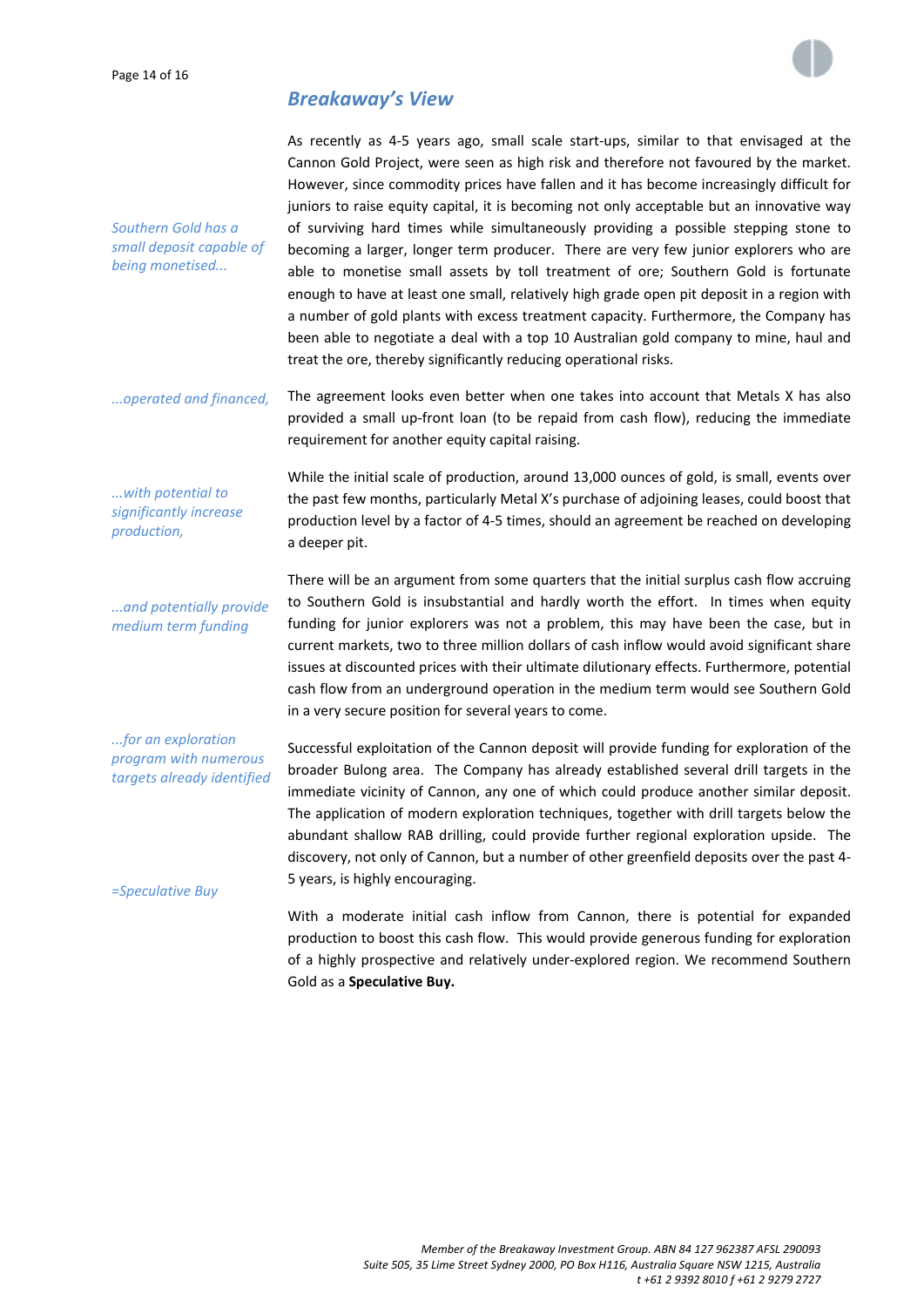

# *Breakaway's View*

*Southern Gold has a small deposit capable of being monetised...*

As recently as 4‐5 years ago, small scale start‐ups, similar to that envisaged at the Cannon Gold Project, were seen as high risk and therefore not favoured by the market. However, since commodity prices have fallen and it has become increasingly difficult for juniors to raise equity capital, it is becoming not only acceptable but an innovative way of surviving hard times while simultaneously providing a possible stepping stone to becoming a larger, longer term producer. There are very few junior explorers who are able to monetise small assets by toll treatment of ore; Southern Gold is fortunate enough to have at least one small, relatively high grade open pit deposit in a region with a number of gold plants with excess treatment capacity. Furthermore, the Company has been able to negotiate a deal with a top 10 Australian gold company to mine, haul and treat the ore, thereby significantly reducing operational risks.

*...operated and financed,* The agreement looks even better when one takes into account that Metals X has also provided a small up‐front loan (to be repaid from cash flow), reducing the immediate requirement for another equity capital raising.

*...with potential to significantly increase production,*

While the initial scale of production, around 13,000 ounces of gold, is small, events over the past few months, particularly Metal X's purchase of adjoining leases, could boost that production level by a factor of 4‐5 times, should an agreement be reached on developing a deeper pit.

*...and potentially provide medium term funding*

There will be an argument from some quarters that the initial surplus cash flow accruing to Southern Gold is insubstantial and hardly worth the effort. In times when equity funding for junior explorers was not a problem, this may have been the case, but in current markets, two to three million dollars of cash inflow would avoid significant share issues at discounted prices with their ultimate dilutionary effects. Furthermore, potential cash flow from an underground operation in the medium term would see Southern Gold in a very secure position for several years to come.

*...for an exploration program with numerous targets already identified*

Successful exploitation of the Cannon deposit will provide funding for exploration of the broader Bulong area. The Company has already established several drill targets in the immediate vicinity of Cannon, any one of which could produce another similar deposit. The application of modern exploration techniques, together with drill targets below the abundant shallow RAB drilling, could provide further regional exploration upside. The discovery, not only of Cannon, but a number of other greenfield deposits over the past 4‐ 5 years, is highly encouraging.

*=Speculative Buy*

With a moderate initial cash inflow from Cannon, there is potential for expanded production to boost this cash flow. This would provide generous funding for exploration of a highly prospective and relatively under‐explored region. We recommend Southern Gold as a **Speculative Buy.**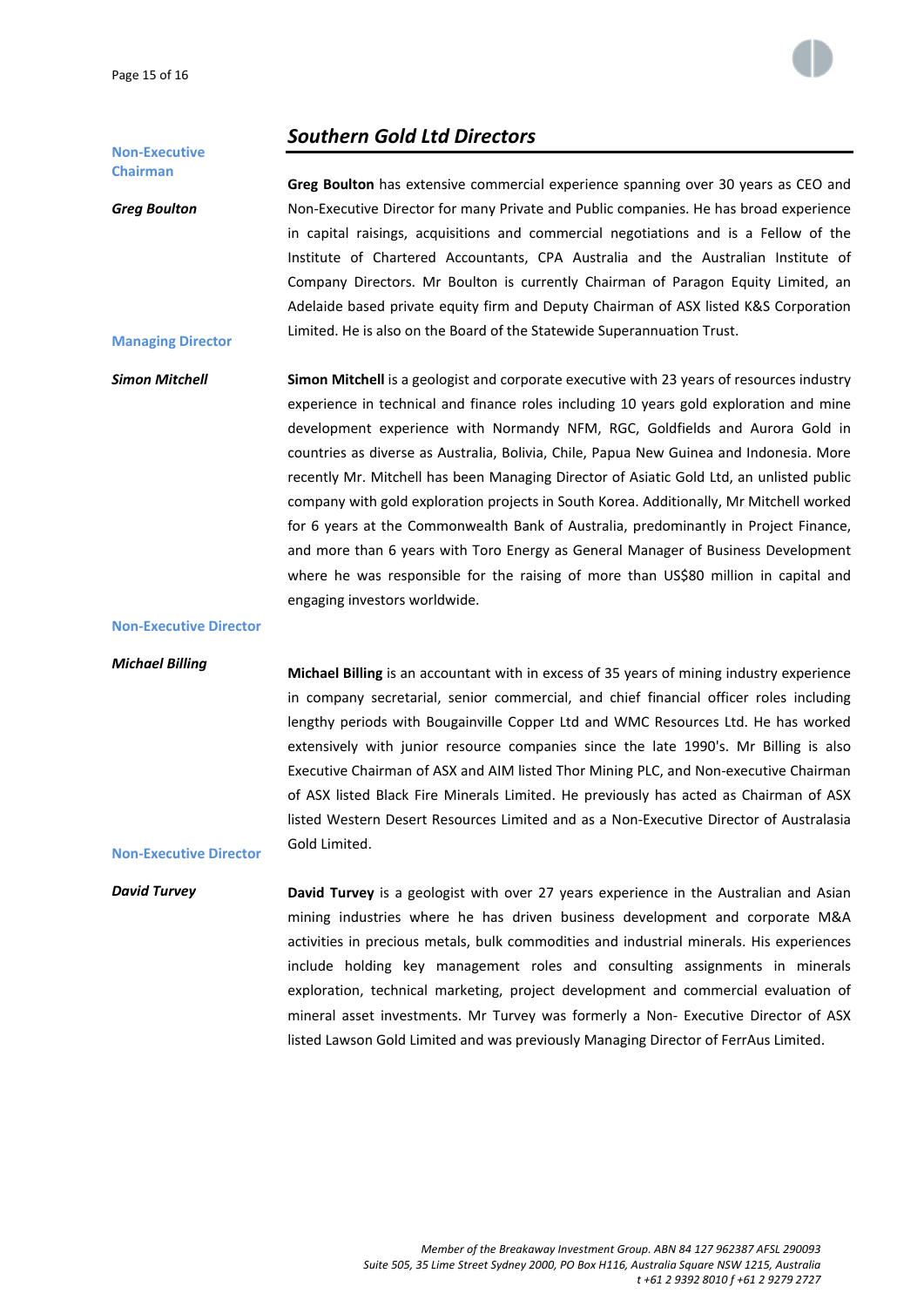

# *Southern Gold Ltd Directors*

## **Non‐Executive Chairman**

*Greg Boulton*

**Managing Director**

**Greg Boulton** has extensive commercial experience spanning over 30 years as CEO and Non‐Executive Director for many Private and Public companies. He has broad experience in capital raisings, acquisitions and commercial negotiations and is a Fellow of the Institute of Chartered Accountants, CPA Australia and the Australian Institute of Company Directors. Mr Boulton is currently Chairman of Paragon Equity Limited, an Adelaide based private equity firm and Deputy Chairman of ASX listed K&S Corporation Limited. He is also on the Board of the Statewide Superannuation Trust.

*Simon Mitchell* **Simon Mitchell** is a geologist and corporate executive with 23 years of resources industry experience in technical and finance roles including 10 years gold exploration and mine development experience with Normandy NFM, RGC, Goldfields and Aurora Gold in countries as diverse as Australia, Bolivia, Chile, Papua New Guinea and Indonesia. More recently Mr. Mitchell has been Managing Director of Asiatic Gold Ltd, an unlisted public company with gold exploration projects in South Korea. Additionally, Mr Mitchell worked for 6 years at the Commonwealth Bank of Australia, predominantly in Project Finance, and more than 6 years with Toro Energy as General Manager of Business Development where he was responsible for the raising of more than US\$80 million in capital and engaging investors worldwide.

## **Non‐Executive Director**

**Non‐Executive Director**

#### *Michael Billing*

**Michael Billing** is an accountant with in excess of 35 years of mining industry experience in company secretarial, senior commercial, and chief financial officer roles including lengthy periods with Bougainville Copper Ltd and WMC Resources Ltd. He has worked extensively with junior resource companies since the late 1990's. Mr Billing is also Executive Chairman of ASX and AIM listed Thor Mining PLC, and Non‐executive Chairman of ASX listed Black Fire Minerals Limited. He previously has acted as Chairman of ASX listed Western Desert Resources Limited and as a Non‐Executive Director of Australasia Gold Limited.

*David Turvey* **David Turvey** is a geologist with over 27 years experience in the Australian and Asian mining industries where he has driven business development and corporate M&A activities in precious metals, bulk commodities and industrial minerals. His experiences include holding key management roles and consulting assignments in minerals exploration, technical marketing, project development and commercial evaluation of mineral asset investments. Mr Turvey was formerly a Non‐ Executive Director of ASX listed Lawson Gold Limited and was previously Managing Director of FerrAus Limited.